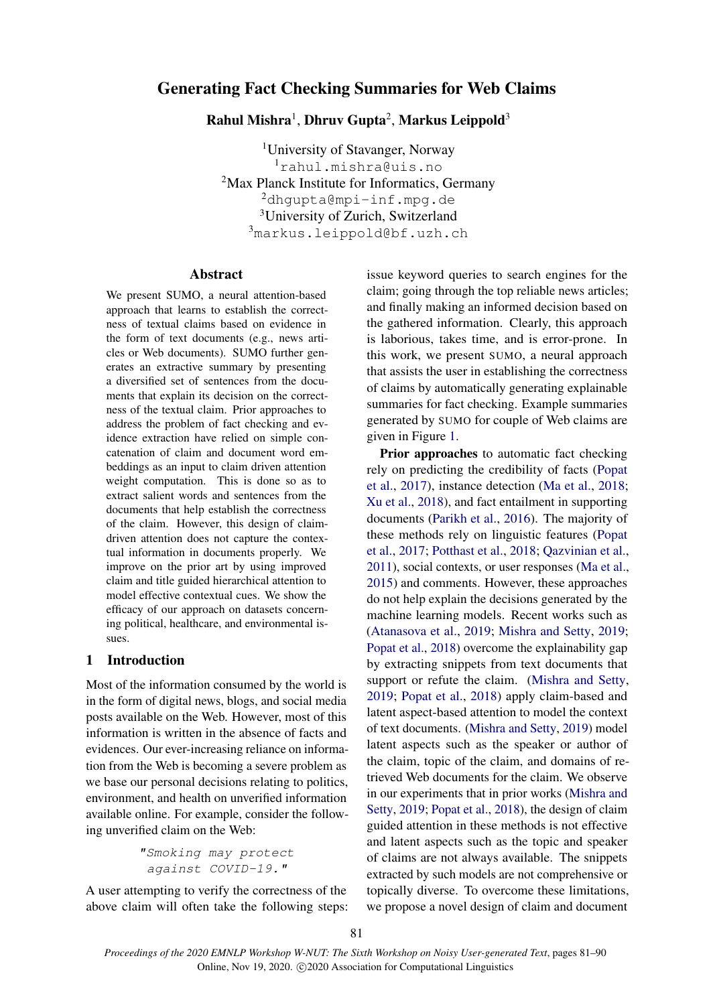# Generating Fact Checking Summaries for Web Claims

 $\bf R$ ahul Mishra $^1$ , Dhruv Gupta $^2$ , Markus Leippold $^3$ 

University of Stavanger, Norway rahul.mishra@uis.no Max Planck Institute for Informatics, Germany dhgupta@mpi-inf.mpg.de <sup>3</sup>University of Zurich, Switzerland markus.leippold@bf.uzh.ch

# Abstract

We present SUMO, a neural attention-based approach that learns to establish the correctness of textual claims based on evidence in the form of text documents (e.g., news articles or Web documents). SUMO further generates an extractive summary by presenting a diversified set of sentences from the documents that explain its decision on the correctness of the textual claim. Prior approaches to address the problem of fact checking and evidence extraction have relied on simple concatenation of claim and document word embeddings as an input to claim driven attention weight computation. This is done so as to extract salient words and sentences from the documents that help establish the correctness of the claim. However, this design of claimdriven attention does not capture the contextual information in documents properly. We improve on the prior art by using improved claim and title guided hierarchical attention to model effective contextual cues. We show the efficacy of our approach on datasets concerning political, healthcare, and environmental issues.

### 1 Introduction

Most of the information consumed by the world is in the form of digital news, blogs, and social media posts available on the Web. However, most of this information is written in the absence of facts and evidences. Our ever-increasing reliance on information from the Web is becoming a severe problem as we base our personal decisions relating to politics, environment, and health on unverified information available online. For example, consider the following unverified claim on the Web:

> "Smoking may protect against COVID-19."

A user attempting to verify the correctness of the above claim will often take the following steps: issue keyword queries to search engines for the claim; going through the top reliable news articles; and finally making an informed decision based on the gathered information. Clearly, this approach is laborious, takes time, and is error-prone. In this work, we present SUMO, a neural approach that assists the user in establishing the correctness of claims by automatically generating explainable summaries for fact checking. Example summaries generated by SUMO for couple of Web claims are given in Figure [1.](#page-1-0)

Prior approaches to automatic fact checking rely on predicting the credibility of facts [\(Popat](#page-9-0) [et al.,](#page-9-0) [2017\)](#page-9-0), instance detection [\(Ma et al.,](#page-9-1) [2018;](#page-9-1) [Xu et al.,](#page-9-2) [2018\)](#page-9-2), and fact entailment in supporting documents [\(Parikh et al.,](#page-9-3) [2016\)](#page-9-3). The majority of these methods rely on linguistic features [\(Popat](#page-9-0) [et al.,](#page-9-0) [2017;](#page-9-0) [Potthast et al.,](#page-9-4) [2018;](#page-9-4) [Qazvinian et al.,](#page-9-5) [2011\)](#page-9-5), social contexts, or user responses [\(Ma et al.,](#page-9-6) [2015\)](#page-9-6) and comments. However, these approaches do not help explain the decisions generated by the machine learning models. Recent works such as [\(Atanasova et al.,](#page-8-0) [2019;](#page-8-0) [Mishra and Setty,](#page-9-7) [2019;](#page-9-7) [Popat et al.,](#page-9-8) [2018\)](#page-9-8) overcome the explainability gap by extracting snippets from text documents that support or refute the claim. [\(Mishra and Setty,](#page-9-7) [2019;](#page-9-7) [Popat et al.,](#page-9-8) [2018\)](#page-9-8) apply claim-based and latent aspect-based attention to model the context of text documents. [\(Mishra and Setty,](#page-9-7) [2019\)](#page-9-7) model latent aspects such as the speaker or author of the claim, topic of the claim, and domains of retrieved Web documents for the claim. We observe in our experiments that in prior works [\(Mishra and](#page-9-7) [Setty,](#page-9-7) [2019;](#page-9-7) [Popat et al.,](#page-9-8) [2018\)](#page-9-8), the design of claim guided attention in these methods is not effective and latent aspects such as the topic and speaker of claims are not always available. The snippets extracted by such models are not comprehensive or topically diverse. To overcome these limitations, we propose a novel design of claim and document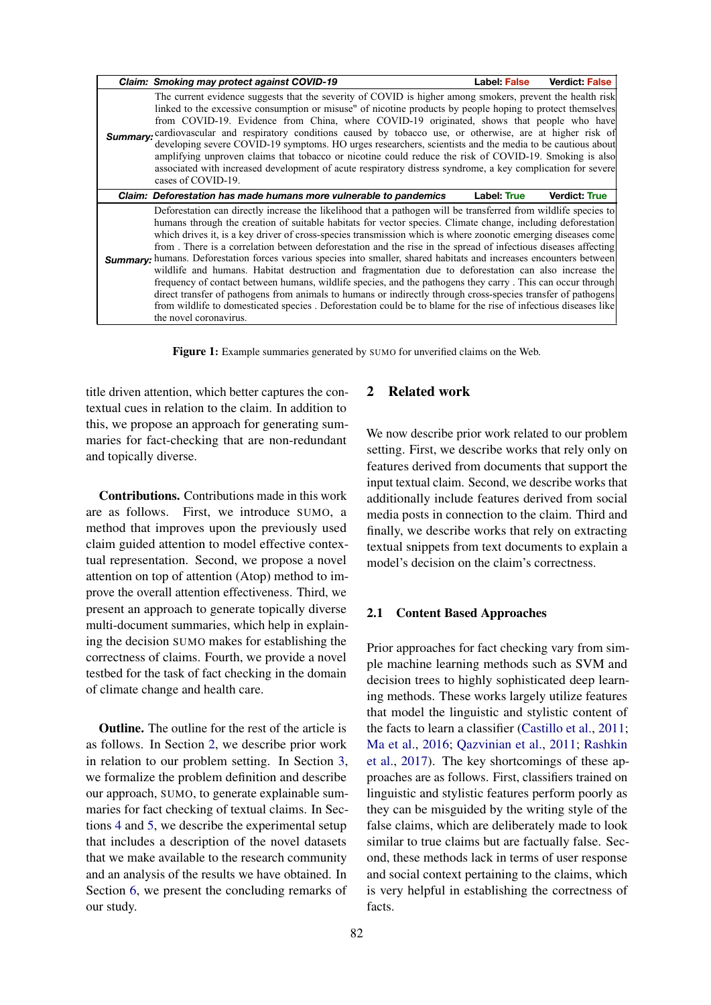<span id="page-1-0"></span>

| Claim: Smoking may protect against COVID-19                                                                                                                                                                                                                                                                                                                                                                                                                                                                                                                                                                                                                                                                                                                                                                                                                                                                                                                                                                                                                                      | Label False        | <b>Verdict: False</b> |
|----------------------------------------------------------------------------------------------------------------------------------------------------------------------------------------------------------------------------------------------------------------------------------------------------------------------------------------------------------------------------------------------------------------------------------------------------------------------------------------------------------------------------------------------------------------------------------------------------------------------------------------------------------------------------------------------------------------------------------------------------------------------------------------------------------------------------------------------------------------------------------------------------------------------------------------------------------------------------------------------------------------------------------------------------------------------------------|--------------------|-----------------------|
| The current evidence suggests that the severity of COVID is higher among smokers, prevent the health risk<br>linked to the excessive consumption or misuse" of nicotine products by people hoping to protect themselves<br>from COVID-19. Evidence from China, where COVID-19 originated, shows that people who have<br>Summary: cardiovascular and respiratory conditions caused by tobacco use, or otherwise, are at higher risk of<br>developing severe COVID-19 symptoms. HO urges researchers, scientists and the media to be cautious about<br>amplifying unproven claims that tobacco or nicotine could reduce the risk of COVID-19. Smoking is also<br>associated with increased development of acute respiratory distress syndrome, a key complication for severe<br>cases of COVID-19.                                                                                                                                                                                                                                                                                 |                    |                       |
| Claim: Deforestation has made humans more vulnerable to pandemics                                                                                                                                                                                                                                                                                                                                                                                                                                                                                                                                                                                                                                                                                                                                                                                                                                                                                                                                                                                                                | <b>Label: True</b> | Verdict: True         |
| Deforestation can directly increase the likelihood that a pathogen will be transferred from wildlife species to<br>humans through the creation of suitable habitats for vector species. Climate change, including deforestation<br>which drives it, is a key driver of cross-species transmission which is where zoonotic emerging diseases come<br>from. There is a correlation between deforestation and the rise in the spread of infectious diseases affecting<br>Summary: humans. Deforestation forces various species into smaller, shared habitats and increases encounters between<br>wildlife and humans. Habitat destruction and fragmentation due to deforestation can also increase the<br>frequency of contact between humans, wildlife species, and the pathogens they carry. This can occur through<br>direct transfer of pathogens from animals to humans or indirectly through cross-species transfer of pathogens<br>from wildlife to domesticated species. Deforestation could be to blame for the rise of infectious diseases like<br>the novel coronavirus. |                    |                       |

Figure 1: Example summaries generated by SUMO for unverified claims on the Web.

title driven attention, which better captures the contextual cues in relation to the claim. In addition to this, we propose an approach for generating summaries for fact-checking that are non-redundant and topically diverse.

Contributions. Contributions made in this work are as follows. First, we introduce SUMO, a method that improves upon the previously used claim guided attention to model effective contextual representation. Second, we propose a novel attention on top of attention (Atop) method to improve the overall attention effectiveness. Third, we present an approach to generate topically diverse multi-document summaries, which help in explaining the decision SUMO makes for establishing the correctness of claims. Fourth, we provide a novel testbed for the task of fact checking in the domain of climate change and health care.

Outline. The outline for the rest of the article is as follows. In Section [2,](#page-1-1) we describe prior work in relation to our problem setting. In Section [3,](#page-2-0) we formalize the problem definition and describe our approach, SUMO, to generate explainable summaries for fact checking of textual claims. In Sections [4](#page-5-0) and [5,](#page-6-0) we describe the experimental setup that includes a description of the novel datasets that we make available to the research community and an analysis of the results we have obtained. In Section [6,](#page-8-1) we present the concluding remarks of our study.

# <span id="page-1-1"></span>2 Related work

We now describe prior work related to our problem setting. First, we describe works that rely only on features derived from documents that support the input textual claim. Second, we describe works that additionally include features derived from social media posts in connection to the claim. Third and finally, we describe works that rely on extracting textual snippets from text documents to explain a model's decision on the claim's correctness.

### 2.1 Content Based Approaches

Prior approaches for fact checking vary from simple machine learning methods such as SVM and decision trees to highly sophisticated deep learning methods. These works largely utilize features that model the linguistic and stylistic content of the facts to learn a classifier [\(Castillo et al.,](#page-8-2) [2011;](#page-8-2) [Ma et al.,](#page-8-3) [2016;](#page-8-3) [Qazvinian et al.,](#page-9-5) [2011;](#page-9-5) [Rashkin](#page-9-9) [et al.,](#page-9-9) [2017\)](#page-9-9). The key shortcomings of these approaches are as follows. First, classifiers trained on linguistic and stylistic features perform poorly as they can be misguided by the writing style of the false claims, which are deliberately made to look similar to true claims but are factually false. Second, these methods lack in terms of user response and social context pertaining to the claims, which is very helpful in establishing the correctness of facts.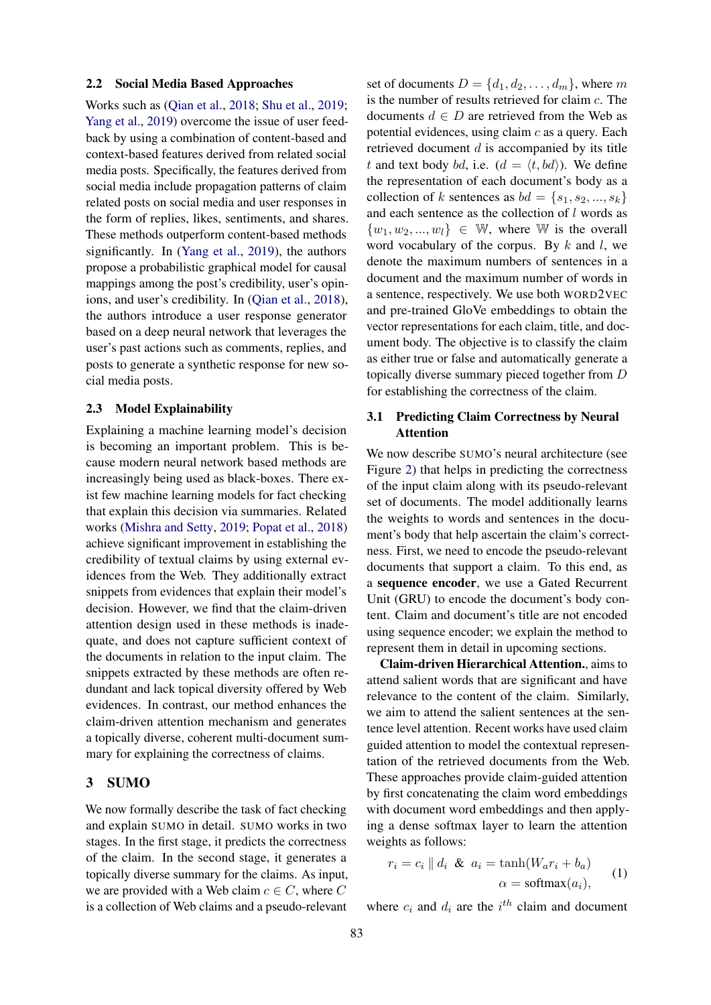#### 2.2 Social Media Based Approaches

Works such as [\(Qian et al.,](#page-9-10) [2018;](#page-9-10) [Shu et al.,](#page-9-11) [2019;](#page-9-11) [Yang et al.,](#page-9-12) [2019\)](#page-9-12) overcome the issue of user feedback by using a combination of content-based and context-based features derived from related social media posts. Specifically, the features derived from social media include propagation patterns of claim related posts on social media and user responses in the form of replies, likes, sentiments, and shares. These methods outperform content-based methods significantly. In [\(Yang et al.,](#page-9-12) [2019\)](#page-9-12), the authors propose a probabilistic graphical model for causal mappings among the post's credibility, user's opinions, and user's credibility. In [\(Qian et al.,](#page-9-10) [2018\)](#page-9-10), the authors introduce a user response generator based on a deep neural network that leverages the user's past actions such as comments, replies, and posts to generate a synthetic response for new social media posts.

#### 2.3 Model Explainability

Explaining a machine learning model's decision is becoming an important problem. This is because modern neural network based methods are increasingly being used as black-boxes. There exist few machine learning models for fact checking that explain this decision via summaries. Related works [\(Mishra and Setty,](#page-9-7) [2019;](#page-9-7) [Popat et al.,](#page-9-8) [2018\)](#page-9-8) achieve significant improvement in establishing the credibility of textual claims by using external evidences from the Web. They additionally extract snippets from evidences that explain their model's decision. However, we find that the claim-driven attention design used in these methods is inadequate, and does not capture sufficient context of the documents in relation to the input claim. The snippets extracted by these methods are often redundant and lack topical diversity offered by Web evidences. In contrast, our method enhances the claim-driven attention mechanism and generates a topically diverse, coherent multi-document summary for explaining the correctness of claims.

### <span id="page-2-0"></span>3 SUMO

We now formally describe the task of fact checking and explain SUMO in detail. SUMO works in two stages. In the first stage, it predicts the correctness of the claim. In the second stage, it generates a topically diverse summary for the claims. As input, we are provided with a Web claim  $c \in C$ , where C is a collection of Web claims and a pseudo-relevant set of documents  $D = \{d_1, d_2, \ldots, d_m\}$ , where m is the number of results retrieved for claim c. The documents  $d \in D$  are retrieved from the Web as potential evidences, using claim  $c$  as a query. Each retrieved document  $d$  is accompanied by its title t and text body bd, i.e.  $(d = \langle t, bd \rangle)$ . We define the representation of each document's body as a collection of k sentences as  $bd = \{s_1, s_2, ..., s_k\}$ and each sentence as the collection of  $l$  words as  $\{w_1, w_2, ..., w_l\} \in \mathbb{W}$ , where W is the overall word vocabulary of the corpus. By  $k$  and  $l$ , we denote the maximum numbers of sentences in a document and the maximum number of words in a sentence, respectively. We use both WORD2VEC and pre-trained GloVe embeddings to obtain the vector representations for each claim, title, and document body. The objective is to classify the claim as either true or false and automatically generate a topically diverse summary pieced together from D for establishing the correctness of the claim.

# 3.1 Predicting Claim Correctness by Neural Attention

We now describe SUMO's neural architecture (see Figure [2\)](#page-3-0) that helps in predicting the correctness of the input claim along with its pseudo-relevant set of documents. The model additionally learns the weights to words and sentences in the document's body that help ascertain the claim's correctness. First, we need to encode the pseudo-relevant documents that support a claim. To this end, as a sequence encoder, we use a Gated Recurrent Unit (GRU) to encode the document's body content. Claim and document's title are not encoded using sequence encoder; we explain the method to represent them in detail in upcoming sections.

Claim-driven Hierarchical Attention., aims to attend salient words that are significant and have relevance to the content of the claim. Similarly, we aim to attend the salient sentences at the sentence level attention. Recent works have used claim guided attention to model the contextual representation of the retrieved documents from the Web. These approaches provide claim-guided attention by first concatenating the claim word embeddings with document word embeddings and then applying a dense softmax layer to learn the attention weights as follows:

$$
r_i = c_i || d_i \& a_i = \tanh(W_a r_i + b_a)
$$
  

$$
\alpha = \text{softmax}(a_i),
$$
 (1)

where  $c_i$  and  $d_i$  are the  $i^{th}$  claim and document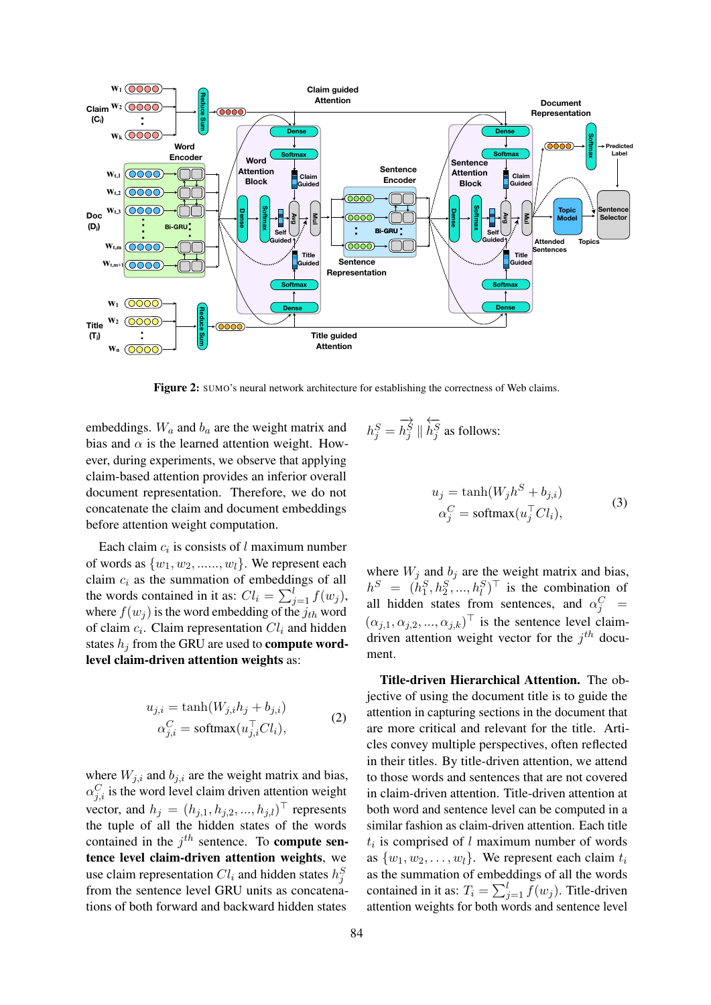<span id="page-3-0"></span>

Figure 2: SUMO's neural network architecture for establishing the correctness of Web claims.

embeddings.  $W_a$  and  $b_a$  are the weight matrix and bias and  $\alpha$  is the learned attention weight. However, during experiments, we observe that applying claim-based attention provides an inferior overall document representation. Therefore, we do not concatenate the claim and document embeddings before attention weight computation.

Each claim  $c_i$  is consists of l maximum number of words as  $\{w_1, w_2, \ldots, w_l\}$ . We represent each claim  $c_i$  as the summation of embeddings of all the words contained in it as:  $Cl_i = \sum_{j=1}^{l} f(w_j)$ , where  $f(w_i)$  is the word embedding of the  $j_{th}$  word of claim  $c_i$ . Claim representation  $Cl_i$  and hidden states  $h_j$  from the GRU are used to **compute word**level claim-driven attention weights as:

$$
u_{j,i} = \tanh(W_{j,i}h_j + b_{j,i})
$$
  
\n
$$
\alpha_{j,i}^C = \operatorname{softmax}(u_{j,i}^\top C l_i),
$$
\n(2)

where  $W_{i,i}$  and  $b_{i,i}$  are the weight matrix and bias,  $\alpha_{j,i}^C$  is the word level claim driven attention weight vector, and  $h_j = (h_{j,1}, h_{j,2}, ..., h_{j,l})^\top$  represents the tuple of all the hidden states of the words contained in the  $j<sup>th</sup>$  sentence. To **compute sen**tence level claim-driven attention weights, we use claim representation  $Cl_i$  and hidden states  $h_j^S$ from the sentence level GRU units as concatenations of both forward and backward hidden states

$$
h_j^S = \overrightarrow{h_j^S} \parallel \overleftarrow{h_j^S} \text{ as follows:}
$$

$$
u_j = \tanh(W_j h^S + b_{j,i})
$$
  
\n
$$
\alpha_j^C = \text{softmax}(u_j^\top C l_i),
$$
\n(3)

where  $W_j$  and  $b_j$  are the weight matrix and bias,  $h^S = (h_1^S, h_2^S, ..., h_l^S)^\top$  is the combination of all hidden states from sentences, and  $\alpha_j^C$  =  $(\alpha_{j,1}, \alpha_{j,2}, ..., \alpha_{j,k})^{\top}$  is the sentence level claimdriven attention weight vector for the  $j<sup>th</sup>$  document.

Title-driven Hierarchical Attention. The objective of using the document title is to guide the attention in capturing sections in the document that are more critical and relevant for the title. Articles convey multiple perspectives, often reflected in their titles. By title-driven attention, we attend to those words and sentences that are not covered in claim-driven attention. Title-driven attention at both word and sentence level can be computed in a similar fashion as claim-driven attention. Each title  $t_i$  is comprised of l maximum number of words as  $\{w_1, w_2, \ldots, w_l\}$ . We represent each claim  $t_i$ as the summation of embeddings of all the words contained in it as:  $T_i = \sum_{j=1}^{l} f(w_j)$ . Title-driven attention weights for both words and sentence level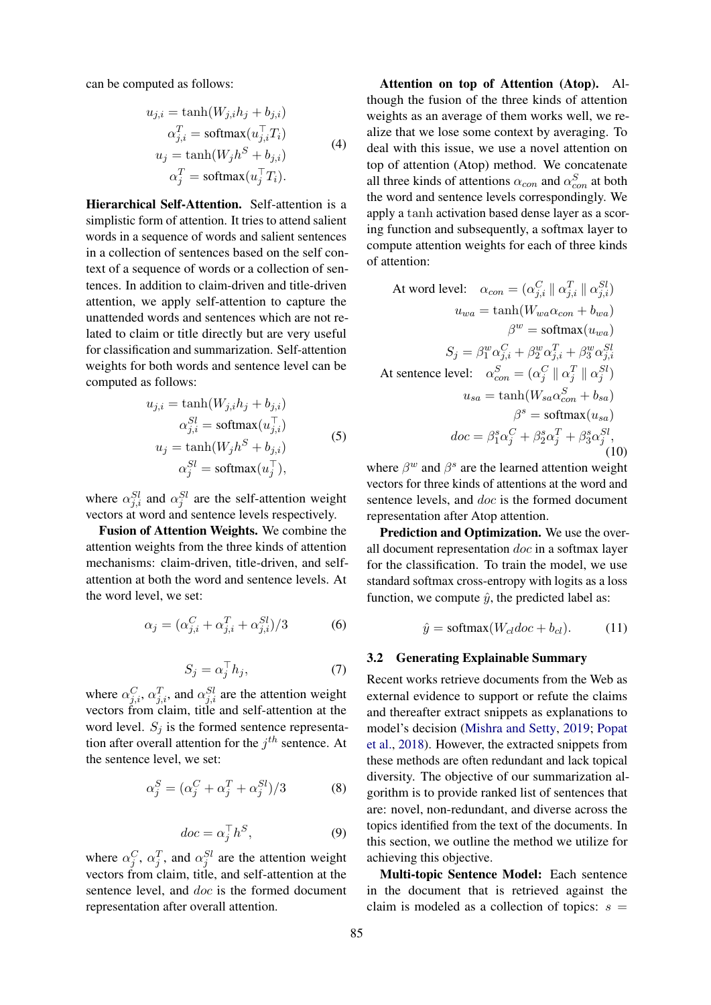can be computed as follows:

$$
u_{j,i} = \tanh(W_{j,i}h_j + b_{j,i})
$$
  
\n
$$
\alpha_{j,i}^T = \operatorname{softmax}(u_{j,i}^\top T_i)
$$
  
\n
$$
u_j = \tanh(W_jh^S + b_{j,i})
$$
  
\n
$$
\alpha_j^T = \operatorname{softmax}(u_j^\top T_i).
$$
\n(4)

Hierarchical Self-Attention. Self-attention is a simplistic form of attention. It tries to attend salient words in a sequence of words and salient sentences in a collection of sentences based on the self context of a sequence of words or a collection of sentences. In addition to claim-driven and title-driven attention, we apply self-attention to capture the unattended words and sentences which are not related to claim or title directly but are very useful for classification and summarization. Self-attention weights for both words and sentence level can be computed as follows:

$$
u_{j,i} = \tanh(W_{j,i}h_j + b_{j,i})
$$
  
\n
$$
\alpha_{j,i}^{SI} = \text{softmax}(u_{j,i}^{\top})
$$
  
\n
$$
u_j = \tanh(W_jh^S + b_{j,i})
$$
  
\n
$$
\alpha_j^{SI} = \text{softmax}(u_j^{\top}),
$$
\n(5)

where  $\alpha_{j,i}^{Sl}$  and  $\alpha_j^{Sl}$  are the self-attention weight vectors at word and sentence levels respectively.

Fusion of Attention Weights. We combine the attention weights from the three kinds of attention mechanisms: claim-driven, title-driven, and selfattention at both the word and sentence levels. At the word level, we set:

$$
\alpha_j = (\alpha_{j,i}^C + \alpha_{j,i}^T + \alpha_{j,i}^{Sl})/3 \tag{6}
$$

$$
S_j = \alpha_j^\top h_j,\tag{7}
$$

where  $\alpha_{j,i}^C$ ,  $\alpha_{j,i}^T$ , and  $\alpha_{j,i}^{SI}$  are the attention weight vectors from claim, title and self-attention at the word level.  $S_i$  is the formed sentence representation after overall attention for the  $j^{th}$  sentence. At the sentence level, we set:

$$
\alpha_j^S = (\alpha_j^C + \alpha_j^T + \alpha_j^{Sl})/3 \tag{8}
$$

$$
doc = \alpha_j^\top h^S,\tag{9}
$$

where  $\alpha_j^C$ ,  $\alpha_j^T$ , and  $\alpha_j^{SI}$  are the attention weight vectors from claim, title, and self-attention at the sentence level, and doc is the formed document representation after overall attention.

Attention on top of Attention (Atop). Although the fusion of the three kinds of attention weights as an average of them works well, we realize that we lose some context by averaging. To deal with this issue, we use a novel attention on top of attention (Atop) method. We concatenate all three kinds of attentions  $\alpha_{con}$  and  $\alpha_{con}^S$  at both the word and sentence levels correspondingly. We apply a tanh activation based dense layer as a scoring function and subsequently, a softmax layer to compute attention weights for each of three kinds of attention:

At word level: 
$$
\alpha_{con} = (\alpha_{j,i}^C \parallel \alpha_{j,i}^T \parallel \alpha_{j,i}^{SI})
$$

$$
u_{wa} = \tanh(W_{wa}\alpha_{con} + b_{wa})
$$

$$
\beta^w = \text{softmax}(u_{wa})
$$

$$
S_j = \beta_1^w \alpha_{j,i}^C + \beta_2^w \alpha_{j,i}^T + \beta_3^w \alpha_{j,i}^{SI}
$$
At sentence level: 
$$
\alpha_{con}^S = (\alpha_j^C \parallel \alpha_j^T \parallel \alpha_j^{SI})
$$

$$
u_{sa} = \tanh(W_{sa}\alpha_{con}^S + b_{sa})
$$

$$
\beta^s = \text{softmax}(u_{sa})
$$

$$
doc = \beta_1^s \alpha_j^C + \beta_2^s \alpha_j^T + \beta_3^s \alpha_j^{SI},
$$
(10)

where  $\beta^w$  and  $\beta^s$  are the learned attention weight vectors for three kinds of attentions at the word and sentence levels, and *doc* is the formed document representation after Atop attention.

Prediction and Optimization. We use the overall document representation doc in a softmax layer for the classification. To train the model, we use standard softmax cross-entropy with logits as a loss function, we compute  $\hat{y}$ , the predicted label as:

$$
\hat{y} = \text{softmax}(W_{cl}doc + b_{cl}).\tag{11}
$$

### 3.2 Generating Explainable Summary

Recent works retrieve documents from the Web as external evidence to support or refute the claims and thereafter extract snippets as explanations to model's decision [\(Mishra and Setty,](#page-9-7) [2019;](#page-9-7) [Popat](#page-9-8) [et al.,](#page-9-8) [2018\)](#page-9-8). However, the extracted snippets from these methods are often redundant and lack topical diversity. The objective of our summarization algorithm is to provide ranked list of sentences that are: novel, non-redundant, and diverse across the topics identified from the text of the documents. In this section, we outline the method we utilize for achieving this objective.

Multi-topic Sentence Model: Each sentence in the document that is retrieved against the claim is modeled as a collection of topics:  $s =$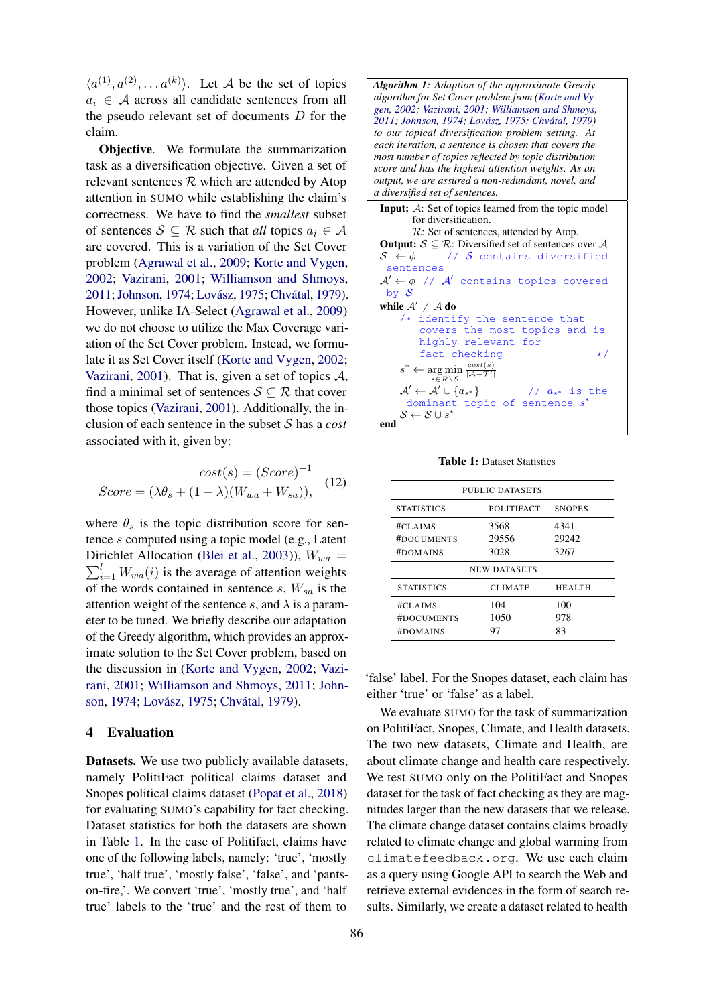$\langle a^{(1)}, a^{(2)}, \ldots a^{(k)} \rangle$ . Let A be the set of topics  $a_i \in \mathcal{A}$  across all candidate sentences from all the pseudo relevant set of documents D for the claim.

Objective. We formulate the summarization task as a diversification objective. Given a set of relevant sentences  $R$  which are attended by Atop attention in SUMO while establishing the claim's correctness. We have to find the *smallest* subset of sentences  $S \subseteq \mathcal{R}$  such that *all* topics  $a_i \in \mathcal{A}$ are covered. This is a variation of the Set Cover problem [\(Agrawal et al.,](#page-8-4) [2009;](#page-8-4) [Korte and Vygen,](#page-8-5) [2002;](#page-8-5) [Vazirani,](#page-9-13) [2001;](#page-9-13) [Williamson and Shmoys,](#page-9-14) [2011;](#page-9-14) [Johnson,](#page-8-6) [1974;](#page-8-6) Lovász, [1975;](#page-8-7) Chvátal, [1979\)](#page-8-8). However, unlike IA-Select [\(Agrawal et al.,](#page-8-4) [2009\)](#page-8-4) we do not choose to utilize the Max Coverage variation of the Set Cover problem. Instead, we formulate it as Set Cover itself [\(Korte and Vygen,](#page-8-5) [2002;](#page-8-5) [Vazirani,](#page-9-13) [2001\)](#page-9-13). That is, given a set of topics  $A$ , find a minimal set of sentences  $S \subseteq \mathcal{R}$  that cover those topics [\(Vazirani,](#page-9-13) [2001\)](#page-9-13). Additionally, the inclusion of each sentence in the subset S has a *cost* associated with it, given by:

$$
cost(s) = (Score)^{-1}
$$
  

$$
Score = (\lambda \theta_s + (1 - \lambda)(W_{wa} + W_{sa})),
$$
 (12)

where  $\theta_s$  is the topic distribution score for sentence s computed using a topic model (e.g., Latent Dirichlet Allocation ([Blei et al.,](#page-8-9) [2003\)](#page-8-9)),  $W_{wa} =$  $\sum_{i=1}^{l} W_{wa}(i)$  is the average of attention weights of the words contained in sentence s,  $W_{sa}$  is the attention weight of the sentence s, and  $\lambda$  is a parameter to be tuned. We briefly describe our adaptation of the Greedy algorithm, which provides an approximate solution to the Set Cover problem, based on the discussion in [\(Korte and Vygen,](#page-8-5) [2002;](#page-8-5) [Vazi](#page-9-13)[rani,](#page-9-13) [2001;](#page-9-13) [Williamson and Shmoys,](#page-9-14) [2011;](#page-9-14) [John](#page-8-6)[son,](#page-8-6) [1974;](#page-8-6) Lovász, [1975;](#page-8-7) Chvátal, [1979\)](#page-8-8).

#### <span id="page-5-0"></span>4 Evaluation

Datasets. We use two publicly available datasets, namely PolitiFact political claims dataset and Snopes political claims dataset [\(Popat et al.,](#page-9-8) [2018\)](#page-9-8) for evaluating SUMO's capability for fact checking. Dataset statistics for both the datasets are shown in Table [1.](#page-5-1) In the case of Politifact, claims have one of the following labels, namely: 'true', 'mostly true', 'half true', 'mostly false', 'false', and 'pantson-fire,'. We convert 'true', 'mostly true', and 'half true' labels to the 'true' and the rest of them to



Table 1: Dataset Statistics

<span id="page-5-1"></span>

| PUBLIC DATASETS                   |                       |                       |  |  |  |
|-----------------------------------|-----------------------|-----------------------|--|--|--|
| <b>STATISTICS</b>                 | POLITIFACT            | <b>SNOPES</b>         |  |  |  |
| #CLAIMS<br>#DOCUMENTS<br>#DOMAINS | 3568<br>29556<br>3028 | 4341<br>29242<br>3267 |  |  |  |
| <b>NEW DATASETS</b>               |                       |                       |  |  |  |
| <b>STATISTICS</b>                 | <b>CLIMATE</b>        | <b>HEALTH</b>         |  |  |  |
| #CLAINS<br>#DOCUMENTS<br>#DOMAINS | 104<br>1050<br>97     | 100<br>978<br>83      |  |  |  |

'false' label. For the Snopes dataset, each claim has either 'true' or 'false' as a label.

We evaluate SUMO for the task of summarization on PolitiFact, Snopes, Climate, and Health datasets. The two new datasets, Climate and Health, are about climate change and health care respectively. We test SUMO only on the PolitiFact and Snopes dataset for the task of fact checking as they are magnitudes larger than the new datasets that we release. The climate change dataset contains claims broadly related to climate change and global warming from climatefeedback.org. We use each claim as a query using Google API to search the Web and retrieve external evidences in the form of search results. Similarly, we create a dataset related to health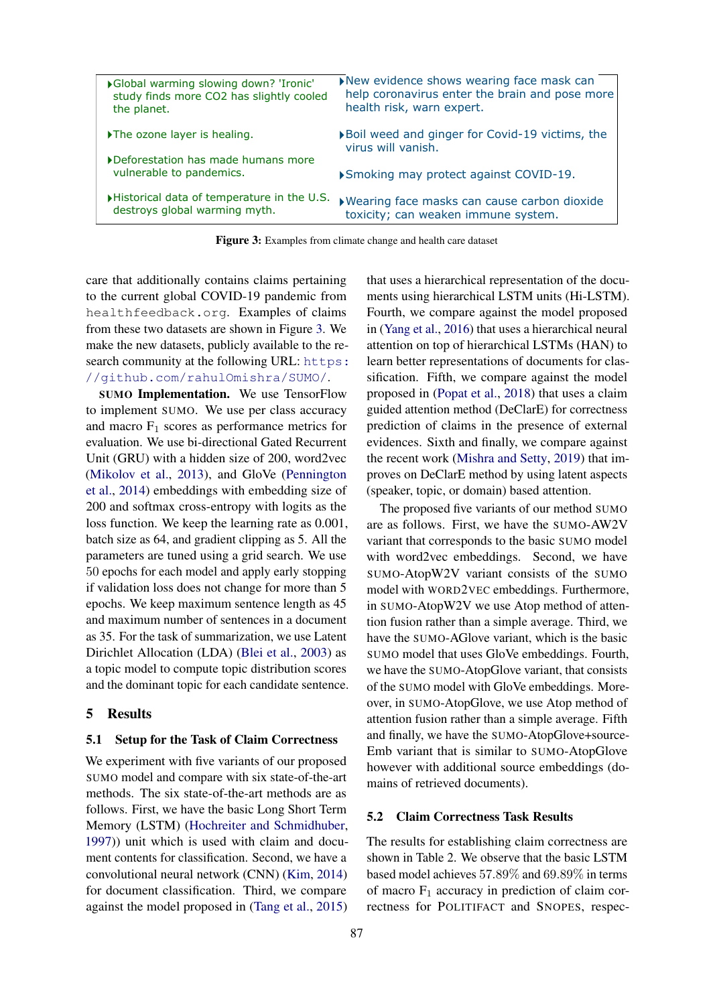<span id="page-6-1"></span>

| ▶ Global warming slowing down? 'Ironic'<br>study finds more CO2 has slightly cooled<br>the planet. | New evidence shows wearing face mask can<br>help coronavirus enter the brain and pose more<br>health risk, warn expert. |
|----------------------------------------------------------------------------------------------------|-------------------------------------------------------------------------------------------------------------------------|
| The ozone layer is healing.                                                                        | ▶ Boil weed and ginger for Covid-19 victims, the<br>virus will vanish.                                                  |
| Deforestation has made humans more<br>vulnerable to pandemics.                                     | ▶ Smoking may protect against COVID-19.                                                                                 |
| Historical data of temperature in the U.S.<br>destroys global warming myth.                        | ▶ Wearing face masks can cause carbon dioxide<br>toxicity; can weaken immune system.                                    |
|                                                                                                    |                                                                                                                         |

Figure 3: Examples from climate change and health care dataset

care that additionally contains claims pertaining to the current global COVID-19 pandemic from healthfeedback.org. Examples of claims from these two datasets are shown in Figure [3.](#page-6-1) We make the new datasets, publicly available to the research community at the following URL: [https:](https://github.com/rahulOmishra/SUMO/) [//github.com/rahulOmishra/SUMO/](https://github.com/rahulOmishra/SUMO/).

SUMO Implementation. We use TensorFlow to implement SUMO. We use per class accuracy and macro  $F_1$  scores as performance metrics for evaluation. We use bi-directional Gated Recurrent Unit (GRU) with a hidden size of 200, word2vec [\(Mikolov et al.,](#page-9-15) [2013\)](#page-9-15), and GloVe [\(Pennington](#page-9-16) [et al.,](#page-9-16) [2014\)](#page-9-16) embeddings with embedding size of 200 and softmax cross-entropy with logits as the loss function. We keep the learning rate as 0.001, batch size as 64, and gradient clipping as 5. All the parameters are tuned using a grid search. We use 50 epochs for each model and apply early stopping if validation loss does not change for more than 5 epochs. We keep maximum sentence length as 45 and maximum number of sentences in a document as 35. For the task of summarization, we use Latent Dirichlet Allocation (LDA) [\(Blei et al.,](#page-8-9) [2003\)](#page-8-9) as a topic model to compute topic distribution scores and the dominant topic for each candidate sentence.

#### <span id="page-6-0"></span>5 Results

### 5.1 Setup for the Task of Claim Correctness

We experiment with five variants of our proposed SUMO model and compare with six state-of-the-art methods. The six state-of-the-art methods are as follows. First, we have the basic Long Short Term Memory (LSTM) [\(Hochreiter and Schmidhuber,](#page-8-10) [1997\)](#page-8-10)) unit which is used with claim and document contents for classification. Second, we have a convolutional neural network (CNN) [\(Kim,](#page-8-11) [2014\)](#page-8-11) for document classification. Third, we compare against the model proposed in [\(Tang et al.,](#page-9-17) [2015\)](#page-9-17) that uses a hierarchical representation of the documents using hierarchical LSTM units (Hi-LSTM). Fourth, we compare against the model proposed in [\(Yang et al.,](#page-9-18) [2016\)](#page-9-18) that uses a hierarchical neural attention on top of hierarchical LSTMs (HAN) to learn better representations of documents for classification. Fifth, we compare against the model proposed in [\(Popat et al.,](#page-9-8) [2018\)](#page-9-8) that uses a claim guided attention method (DeClarE) for correctness prediction of claims in the presence of external evidences. Sixth and finally, we compare against the recent work [\(Mishra and Setty,](#page-9-7) [2019\)](#page-9-7) that improves on DeClarE method by using latent aspects (speaker, topic, or domain) based attention.

The proposed five variants of our method SUMO are as follows. First, we have the SUMO-AW2V variant that corresponds to the basic SUMO model with word2vec embeddings. Second, we have SUMO-AtopW2V variant consists of the SUMO model with WORD2VEC embeddings. Furthermore, in SUMO-AtopW2V we use Atop method of attention fusion rather than a simple average. Third, we have the SUMO-AGlove variant, which is the basic SUMO model that uses GloVe embeddings. Fourth, we have the SUMO-AtopGlove variant, that consists of the SUMO model with GloVe embeddings. Moreover, in SUMO-AtopGlove, we use Atop method of attention fusion rather than a simple average. Fifth and finally, we have the SUMO-AtopGlove+source-Emb variant that is similar to SUMO-AtopGlove however with additional source embeddings (domains of retrieved documents).

### 5.2 Claim Correctness Task Results

The results for establishing claim correctness are shown in Table 2. We observe that the basic LSTM based model achieves 57.89% and 69.89% in terms of macro  $F_1$  accuracy in prediction of claim correctness for POLITIFACT and SNOPES, respec-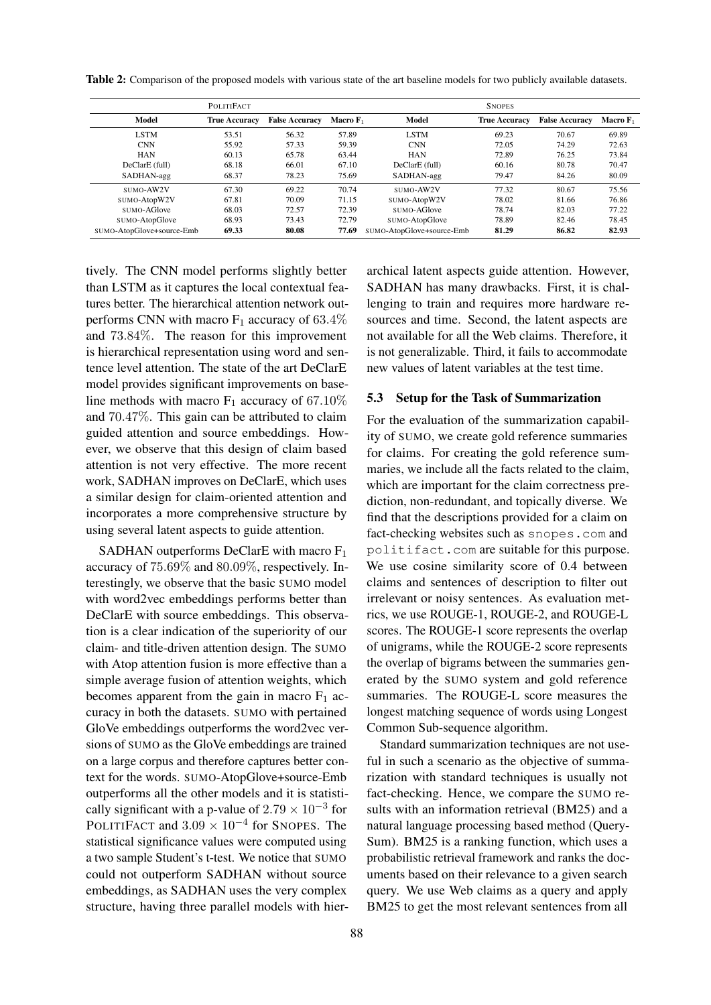|                           | <b>POLITIFACT</b>    |                       |             |                           | <b>SNOPES</b>        |                       |             |
|---------------------------|----------------------|-----------------------|-------------|---------------------------|----------------------|-----------------------|-------------|
| <b>Model</b>              | <b>True Accuracy</b> | <b>False Accuracy</b> | Macro $F_1$ | Model                     | <b>True Accuracy</b> | <b>False Accuracy</b> | Macro $F_1$ |
| <b>LSTM</b>               | 53.51                | 56.32                 | 57.89       | <b>LSTM</b>               | 69.23                | 70.67                 | 69.89       |
| <b>CNN</b>                | 55.92                | 57.33                 | 59.39       | <b>CNN</b>                | 72.05                | 74.29                 | 72.63       |
| <b>HAN</b>                | 60.13                | 65.78                 | 63.44       | <b>HAN</b>                | 72.89                | 76.25                 | 73.84       |
| DeClarE (full)            | 68.18                | 66.01                 | 67.10       | DeClarE (full)            | 60.16                | 80.78                 | 70.47       |
| SADHAN-agg                | 68.37                | 78.23                 | 75.69       | SADHAN-agg                | 79.47                | 84.26                 | 80.09       |
| SUMO-AW2V                 | 67.30                | 69.22                 | 70.74       | SUMO-AW2V                 | 77.32                | 80.67                 | 75.56       |
| SUMO-AtopW2V              | 67.81                | 70.09                 | 71.15       | SUMO-AtopW2V              | 78.02                | 81.66                 | 76.86       |
| SUMO-AGlove               | 68.03                | 72.57                 | 72.39       | SUMO-AGlove               | 78.74                | 82.03                 | 77.22       |
| SUMO-AtopGlove            | 68.93                | 73.43                 | 72.79       | SUMO-AtopGlove            | 78.89                | 82.46                 | 78.45       |
| SUMO-AtopGlove+source-Emb | 69.33                | 80.08                 | 77.69       | SUMO-AtopGlove+source-Emb | 81.29                | 86.82                 | 82.93       |

Table 2: Comparison of the proposed models with various state of the art baseline models for two publicly available datasets.

tively. The CNN model performs slightly better than LSTM as it captures the local contextual features better. The hierarchical attention network outperforms CNN with macro  $F_1$  accuracy of 63.4% and 73.84%. The reason for this improvement is hierarchical representation using word and sentence level attention. The state of the art DeClarE model provides significant improvements on baseline methods with macro  $F_1$  accuracy of 67.10% and 70.47%. This gain can be attributed to claim guided attention and source embeddings. However, we observe that this design of claim based attention is not very effective. The more recent work, SADHAN improves on DeClarE, which uses a similar design for claim-oriented attention and incorporates a more comprehensive structure by using several latent aspects to guide attention.

SADHAN outperforms DeClarE with macro  $F_1$ accuracy of 75.69% and 80.09%, respectively. Interestingly, we observe that the basic SUMO model with word2vec embeddings performs better than DeClarE with source embeddings. This observation is a clear indication of the superiority of our claim- and title-driven attention design. The SUMO with Atop attention fusion is more effective than a simple average fusion of attention weights, which becomes apparent from the gain in macro  $F_1$  accuracy in both the datasets. SUMO with pertained GloVe embeddings outperforms the word2vec versions of SUMO as the GloVe embeddings are trained on a large corpus and therefore captures better context for the words. SUMO-AtopGlove+source-Emb outperforms all the other models and it is statistically significant with a p-value of  $2.79 \times 10^{-3}$  for POLITIFACT and  $3.09 \times 10^{-4}$  for SNOPES. The statistical significance values were computed using a two sample Student's t-test. We notice that SUMO could not outperform SADHAN without source embeddings, as SADHAN uses the very complex structure, having three parallel models with hierarchical latent aspects guide attention. However, SADHAN has many drawbacks. First, it is challenging to train and requires more hardware resources and time. Second, the latent aspects are not available for all the Web claims. Therefore, it is not generalizable. Third, it fails to accommodate new values of latent variables at the test time.

#### 5.3 Setup for the Task of Summarization

For the evaluation of the summarization capability of SUMO, we create gold reference summaries for claims. For creating the gold reference summaries, we include all the facts related to the claim, which are important for the claim correctness prediction, non-redundant, and topically diverse. We find that the descriptions provided for a claim on fact-checking websites such as snopes.com and politifact.com are suitable for this purpose. We use cosine similarity score of 0.4 between claims and sentences of description to filter out irrelevant or noisy sentences. As evaluation metrics, we use ROUGE-1, ROUGE-2, and ROUGE-L scores. The ROUGE-1 score represents the overlap of unigrams, while the ROUGE-2 score represents the overlap of bigrams between the summaries generated by the SUMO system and gold reference summaries. The ROUGE-L score measures the longest matching sequence of words using Longest Common Sub-sequence algorithm.

Standard summarization techniques are not useful in such a scenario as the objective of summarization with standard techniques is usually not fact-checking. Hence, we compare the SUMO results with an information retrieval (BM25) and a natural language processing based method (Query-Sum). BM25 is a ranking function, which uses a probabilistic retrieval framework and ranks the documents based on their relevance to a given search query. We use Web claims as a query and apply BM25 to get the most relevant sentences from all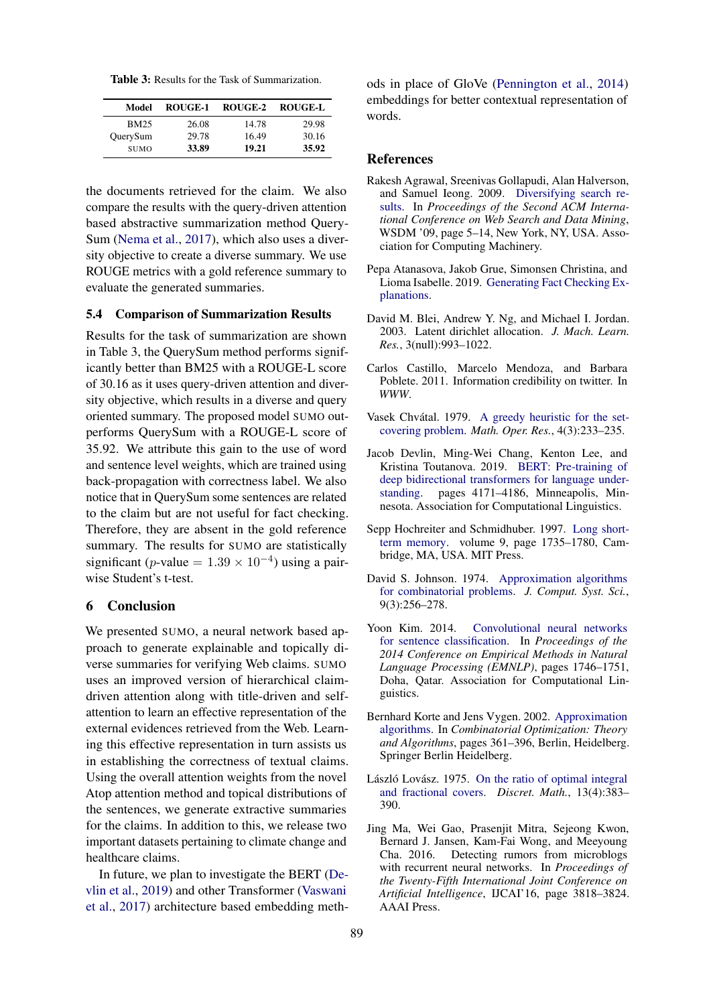| <b>Table 3:</b> Results for the Task of Summarization. |
|--------------------------------------------------------|
|--------------------------------------------------------|

| Model       | ROUGE-1 | ROUGE-2 | <b>ROUGE-L</b> |
|-------------|---------|---------|----------------|
| <b>BM25</b> | 26.08   | 14.78   | 29.98          |
| QuerySum    | 29.78   | 16.49   | 30.16          |
| <b>SUMO</b> | 33.89   | 19.21   | 35.92          |

the documents retrieved for the claim. We also compare the results with the query-driven attention based abstractive summarization method Query-Sum [\(Nema et al.,](#page-9-19) [2017\)](#page-9-19), which also uses a diversity objective to create a diverse summary. We use ROUGE metrics with a gold reference summary to evaluate the generated summaries.

#### 5.4 Comparison of Summarization Results

Results for the task of summarization are shown in Table 3, the QuerySum method performs significantly better than BM25 with a ROUGE-L score of 30.16 as it uses query-driven attention and diversity objective, which results in a diverse and query oriented summary. The proposed model SUMO outperforms QuerySum with a ROUGE-L score of 35.92. We attribute this gain to the use of word and sentence level weights, which are trained using back-propagation with correctness label. We also notice that in QuerySum some sentences are related to the claim but are not useful for fact checking. Therefore, they are absent in the gold reference summary. The results for SUMO are statistically significant (p-value =  $1.39 \times 10^{-4}$ ) using a pairwise Student's t-test.

#### <span id="page-8-1"></span>6 Conclusion

We presented SUMO, a neural network based approach to generate explainable and topically diverse summaries for verifying Web claims. SUMO uses an improved version of hierarchical claimdriven attention along with title-driven and selfattention to learn an effective representation of the external evidences retrieved from the Web. Learning this effective representation in turn assists us in establishing the correctness of textual claims. Using the overall attention weights from the novel Atop attention method and topical distributions of the sentences, we generate extractive summaries for the claims. In addition to this, we release two important datasets pertaining to climate change and healthcare claims.

In future, we plan to investigate the BERT [\(De](#page-8-12)[vlin et al.,](#page-8-12) [2019\)](#page-8-12) and other Transformer [\(Vaswani](#page-9-20) [et al.,](#page-9-20) [2017\)](#page-9-20) architecture based embedding methods in place of GloVe [\(Pennington et al.,](#page-9-16) [2014\)](#page-9-16) embeddings for better contextual representation of words.

#### References

- <span id="page-8-4"></span>Rakesh Agrawal, Sreenivas Gollapudi, Alan Halverson, and Samuel Ieong. 2009. [Diversifying search re](https://doi.org/10.1145/1498759.1498766)[sults.](https://doi.org/10.1145/1498759.1498766) In *Proceedings of the Second ACM International Conference on Web Search and Data Mining*, WSDM '09, page 5–14, New York, NY, USA. Association for Computing Machinery.
- <span id="page-8-0"></span>Pepa Atanasova, Jakob Grue, Simonsen Christina, and Lioma Isabelle. 2019. [Generating Fact Checking Ex](http://arxiv.org/abs/arXiv:2004.05773v1)[planations.](http://arxiv.org/abs/arXiv:2004.05773v1)
- <span id="page-8-9"></span>David M. Blei, Andrew Y. Ng, and Michael I. Jordan. 2003. Latent dirichlet allocation. *J. Mach. Learn. Res.*, 3(null):993–1022.
- <span id="page-8-2"></span>Carlos Castillo, Marcelo Mendoza, and Barbara Poblete. 2011. Information credibility on twitter. In *WWW*.
- <span id="page-8-8"></span>Vasek Chvátal. 1979. [A greedy heuristic for the set](https://doi.org/10.1287/moor.4.3.233)[covering problem.](https://doi.org/10.1287/moor.4.3.233) *Math. Oper. Res.*, 4(3):233–235.
- <span id="page-8-12"></span>Jacob Devlin, Ming-Wei Chang, Kenton Lee, and Kristina Toutanova. 2019. [BERT: Pre-training of](https://doi.org/10.18653/v1/N19-1423) [deep bidirectional transformers for language under](https://doi.org/10.18653/v1/N19-1423)[standing.](https://doi.org/10.18653/v1/N19-1423) pages 4171–4186, Minneapolis, Minnesota. Association for Computational Linguistics.
- <span id="page-8-10"></span>Sepp Hochreiter and Schmidhuber. 1997. [Long short](https://doi.org/10.1162/neco.1997.9.8.1735)[term memory.](https://doi.org/10.1162/neco.1997.9.8.1735) volume 9, page 1735–1780, Cambridge, MA, USA. MIT Press.
- <span id="page-8-6"></span>David S. Johnson. 1974. [Approximation algorithms](https://doi.org/10.1016/S0022-0000(74)80044-9) [for combinatorial problems.](https://doi.org/10.1016/S0022-0000(74)80044-9) *J. Comput. Syst. Sci.*, 9(3):256–278.
- <span id="page-8-11"></span>Yoon Kim. 2014. [Convolutional neural networks](https://doi.org/10.3115/v1/D14-1181) [for sentence classification.](https://doi.org/10.3115/v1/D14-1181) In *Proceedings of the 2014 Conference on Empirical Methods in Natural Language Processing (EMNLP)*, pages 1746–1751, Doha, Qatar. Association for Computational Linguistics.
- <span id="page-8-5"></span>Bernhard Korte and Jens Vygen. 2002. [Approximation](https://doi.org/10.1007/978-3-662-21711-5_16) [algorithms.](https://doi.org/10.1007/978-3-662-21711-5_16) In *Combinatorial Optimization: Theory and Algorithms*, pages 361–396, Berlin, Heidelberg. Springer Berlin Heidelberg.
- <span id="page-8-7"></span>László Lovász. 1975. [On the ratio of optimal integral](https://doi.org/10.1016/0012-365X(75)90058-8) [and fractional covers.](https://doi.org/10.1016/0012-365X(75)90058-8) *Discret. Math.*, 13(4):383– 390.
- <span id="page-8-3"></span>Jing Ma, Wei Gao, Prasenjit Mitra, Sejeong Kwon, Bernard J. Jansen, Kam-Fai Wong, and Meeyoung Cha. 2016. Detecting rumors from microblogs with recurrent neural networks. In *Proceedings of the Twenty-Fifth International Joint Conference on Artificial Intelligence*, IJCAI'16, page 3818–3824. AAAI Press.